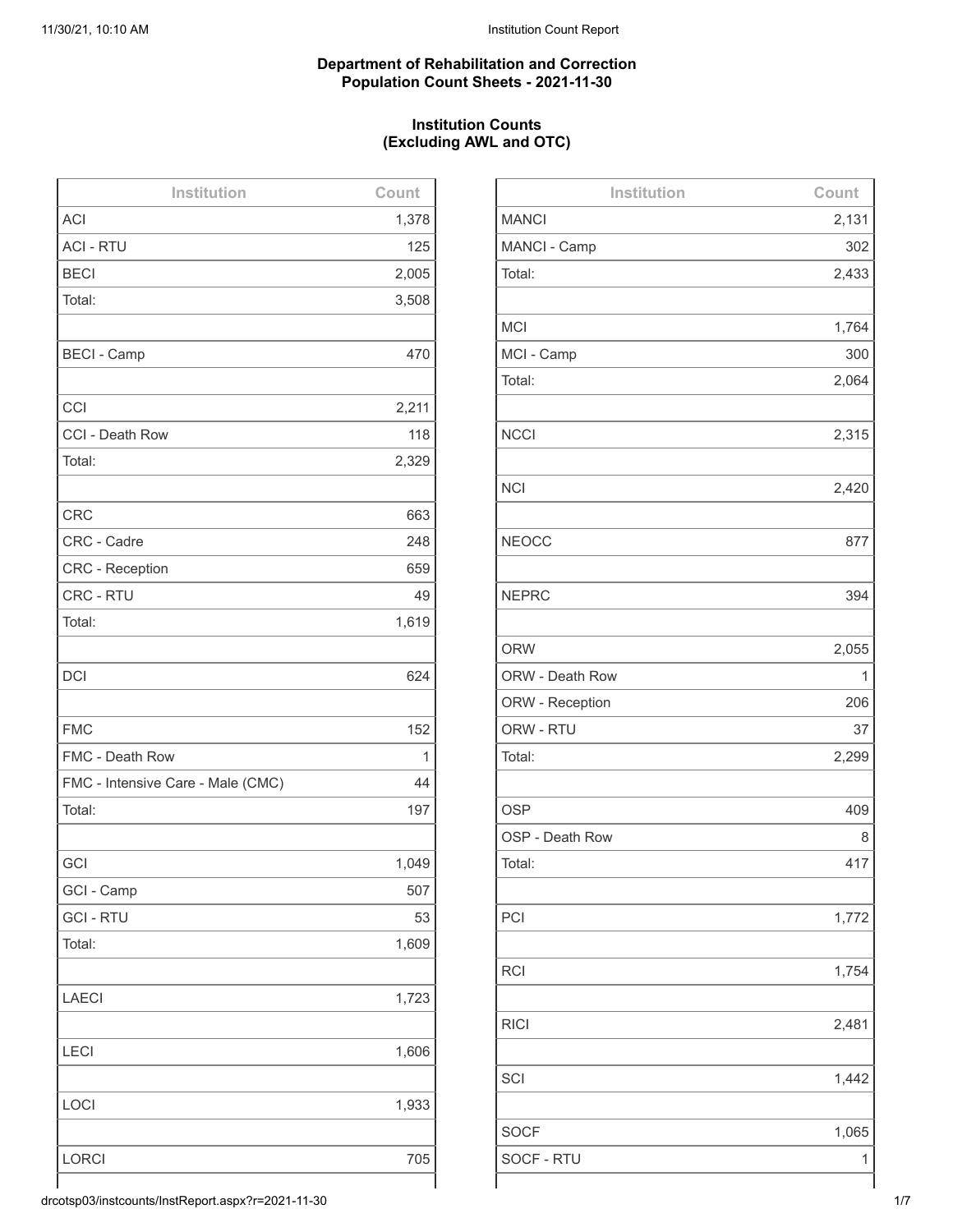#### **Department of Rehabilitation and Correction Population Count Sheets - 2021-11-30**

## **Institution Counts (Excluding AWL and OTC)**

| Institution                       | Count        |
|-----------------------------------|--------------|
| <b>ACI</b>                        | 1,378        |
| <b>ACI - RTU</b>                  | 125          |
| <b>BECI</b>                       | 2,005        |
| Total:                            | 3,508        |
|                                   |              |
| <b>BECI - Camp</b>                | 470          |
|                                   |              |
| CCI                               | 2,211        |
| CCI - Death Row                   | 118          |
| Total:                            | 2,329        |
|                                   |              |
| <b>CRC</b>                        | 663          |
| CRC - Cadre                       | 248          |
| CRC - Reception                   | 659          |
| CRC - RTU                         | 49           |
| Total:                            | 1,619        |
|                                   |              |
| <b>DCI</b>                        | 624          |
|                                   |              |
| <b>FMC</b>                        | 152          |
| FMC - Death Row                   | $\mathbf{1}$ |
| FMC - Intensive Care - Male (CMC) | 44           |
| Total:                            | 197          |
|                                   |              |
| GCI                               | 1,049        |
| GCI - Camp                        | 507          |
| <b>GCI-RTU</b>                    | 53           |
| Total:                            | 1,609        |
|                                   |              |
| <b>LAECI</b>                      | 1,723        |
|                                   |              |
| <b>LECI</b>                       | 1,606        |
|                                   |              |
| LOCI                              | 1,933        |
|                                   |              |
| <b>LORCI</b>                      | 705          |
|                                   |              |

| Institution     | Count |
|-----------------|-------|
| <b>MANCI</b>    | 2,131 |
| MANCI - Camp    | 302   |
| Total:          | 2,433 |
|                 |       |
| <b>MCI</b>      | 1,764 |
| MCI - Camp      | 300   |
| Total:          | 2,064 |
|                 |       |
| <b>NCCI</b>     | 2,315 |
|                 |       |
| <b>NCI</b>      | 2,420 |
|                 |       |
| <b>NEOCC</b>    | 877   |
|                 |       |
| <b>NEPRC</b>    | 394   |
| <b>ORW</b>      | 2,055 |
| ORW - Death Row | 1     |
| ORW - Reception | 206   |
| ORW - RTU       | 37    |
| Total:          | 2,299 |
|                 |       |
| <b>OSP</b>      | 409   |
| OSP - Death Row | 8     |
| Total:          | 417   |
|                 |       |
| PCI             | 1,772 |
|                 |       |
| <b>RCI</b>      | 1,754 |
|                 |       |
| <b>RICI</b>     | 2,481 |
|                 |       |
| SCI             | 1,442 |
|                 |       |
| <b>SOCF</b>     | 1,065 |
| SOCF - RTU      | 1     |
|                 |       |

drcotsp03/instcounts/InstReport.aspx?r=2021-11-30 1/7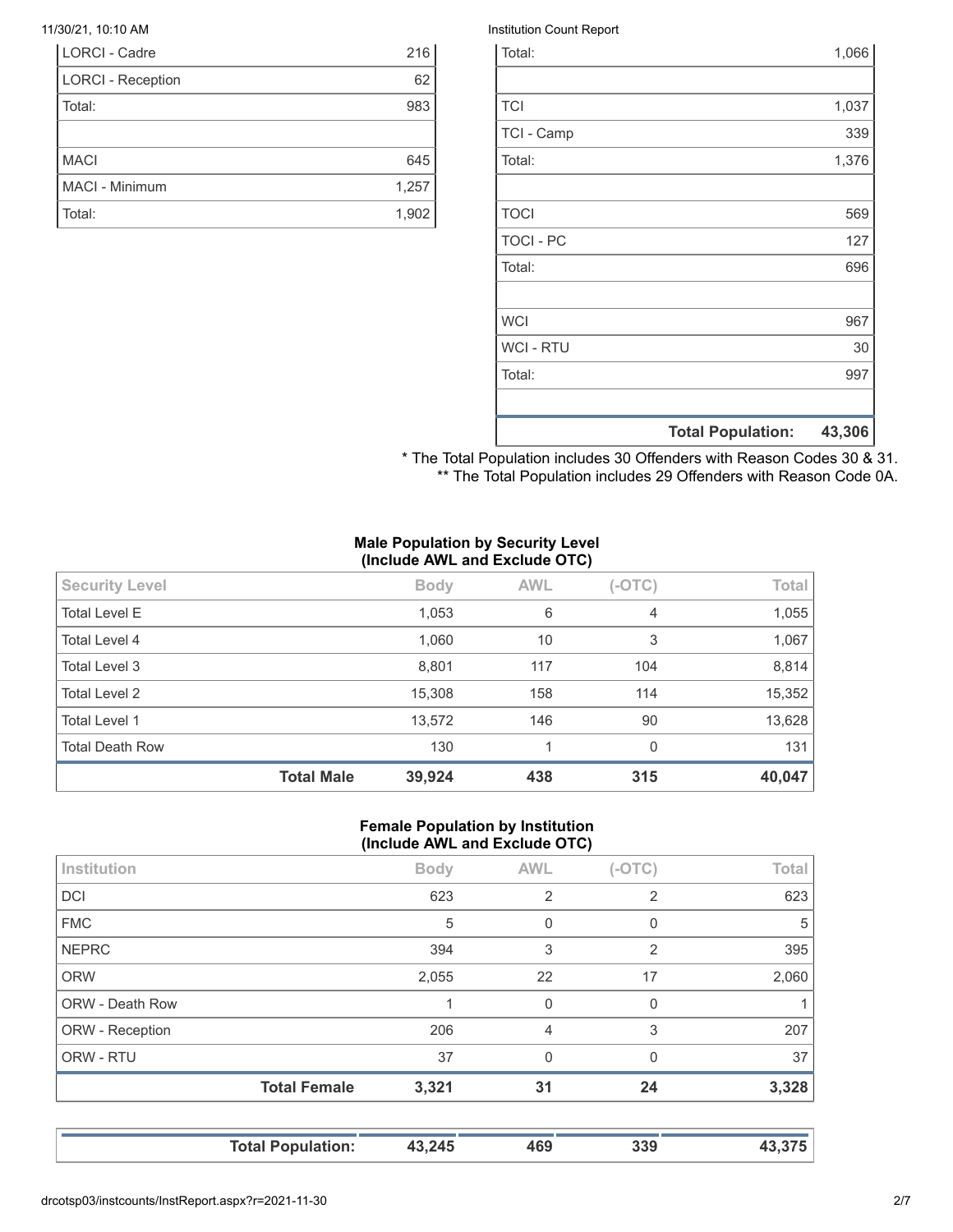| <b>LORCI - Cadre</b>     | 216   |
|--------------------------|-------|
| <b>LORCI - Reception</b> | 62    |
| Total:                   | 983   |
|                          |       |
| <b>MACI</b>              | 645   |
| MACI - Minimum           | 1,257 |
| Total:                   | 1,902 |

#### 11/30/21, 10:10 AM Institution Count Report

|                  | <b>Total Population:</b> | 43,306 |
|------------------|--------------------------|--------|
|                  |                          |        |
| Total:           |                          | 997    |
| <b>WCI - RTU</b> |                          | 30     |
| <b>WCI</b>       |                          | 967    |
|                  |                          |        |
| Total:           |                          | 696    |
| <b>TOCI - PC</b> |                          | 127    |
| <b>TOCI</b>      |                          | 569    |
|                  |                          |        |
| Total:           |                          | 1,376  |
| TCI - Camp       |                          | 339    |
| <b>TCI</b>       |                          | 1,037  |
|                  |                          |        |
| Total:           |                          | 1,066  |

\* The Total Population includes 30 Offenders with Reason Codes 30 & 31. \*\* The Total Population includes 29 Offenders with Reason Code 0A.

#### **Male Population by Security Level (Include AWL and Exclude OTC)**

| <b>Total Death Row</b> | 13,572<br>130 | 146<br>1   | 90<br>0        | 13,628<br>131 |
|------------------------|---------------|------------|----------------|---------------|
|                        |               |            |                |               |
| <b>Total Level 1</b>   |               |            |                |               |
| <b>Total Level 2</b>   | 15,308        | 158        | 114            | 15,352        |
| Total Level 3          | 8,801         | 117        | 104            | 8,814         |
| Total Level 4          | 1,060         | 10         | 3              | 1,067         |
| <b>Total Level E</b>   | 1,053         | 6          | $\overline{4}$ | 1,055         |
| <b>Security Level</b>  | <b>Body</b>   | <b>AWL</b> | $(-OTC)$       | Total         |

#### **Female Population by Institution (Include AWL and Exclude OTC)**

|                        | <b>Total Female</b> | 3,321       | 31             | 24             | 3,328 |
|------------------------|---------------------|-------------|----------------|----------------|-------|
| ORW - RTU              |                     | 37          | $\Omega$       | $\Omega$       | 37    |
| ORW - Reception        |                     | 206         | 4              | 3              | 207   |
| <b>ORW - Death Row</b> |                     |             | $\mathbf 0$    | 0              |       |
| <b>ORW</b>             |                     | 2,055       | 22             | 17             | 2,060 |
| <b>NEPRC</b>           |                     | 394         | 3              | 2              | 395   |
| <b>FMC</b>             |                     | 5           | 0              | 0              | 5     |
| <b>DCI</b>             |                     | 623         | $\overline{2}$ | $\overline{2}$ | 623   |
| Institution            |                     | <b>Body</b> | <b>AWL</b>     | $(-OTC)$       | Total |
|                        |                     |             |                |                |       |

**Total Population: 43,245 469 339 43,375**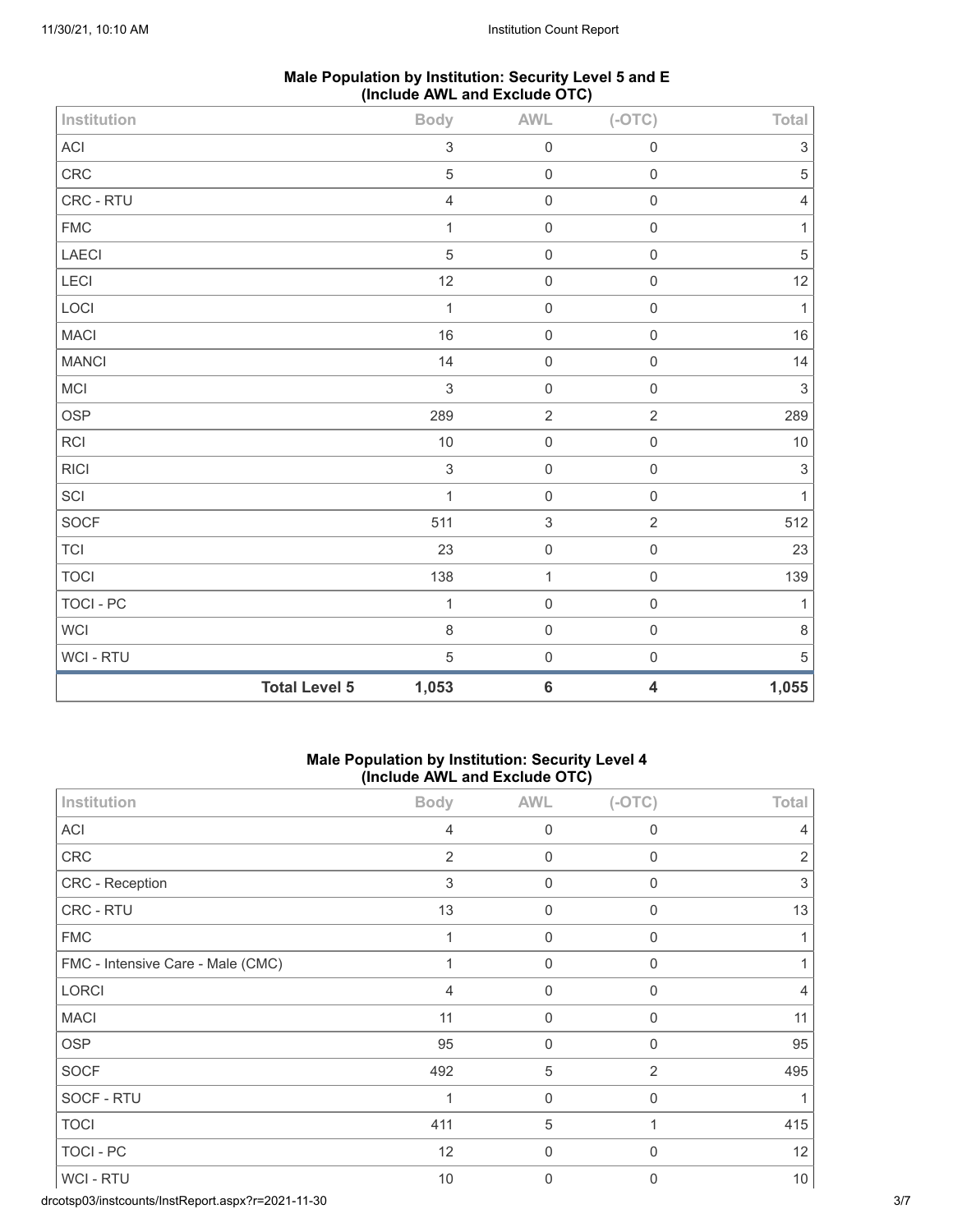| Male Population by Institution: Security Level 5 and E |                               |  |  |
|--------------------------------------------------------|-------------------------------|--|--|
|                                                        | (Include AWL and Exclude OTC) |  |  |

| Institution      |                      | <b>Body</b>               | $\mathsf{AWL}\xspace$ | $(-OTC)$                | Total                     |
|------------------|----------------------|---------------------------|-----------------------|-------------------------|---------------------------|
| ACI              |                      | $\ensuremath{\mathsf{3}}$ | $\mathbf 0$           | $\mathbf 0$             | $\ensuremath{\mathsf{3}}$ |
| CRC              |                      | $\sqrt{5}$                | $\mathbf 0$           | $\mathbf 0$             | $\sqrt{5}$                |
| CRC - RTU        |                      | $\overline{4}$            | $\mathbf 0$           | $\mathbf 0$             | $\overline{4}$            |
| ${\sf FMC}$      |                      | $\mathbf{1}$              | $\mathbf 0$           | $\mathbf 0$             | $\mathbf{1}$              |
| LAECI            |                      | $\sqrt{5}$                | $\mathbf 0$           | $\mathbf 0$             | $\,$ 5 $\,$               |
| LECI             |                      | 12                        | $\mbox{O}$            | $\mathbf 0$             | 12                        |
| LOCI             |                      | $\mathbf{1}$              | $\mathbf 0$           | $\mathbf 0$             | $\mathbf{1}$              |
| <b>MACI</b>      |                      | 16                        | $\mathsf{O}\xspace$   | $\mathbf 0$             | $16\,$                    |
| <b>MANCI</b>     |                      | 14                        | $\mathbf 0$           | $\mathbf 0$             | 14                        |
| MCI              |                      | $\sqrt{3}$                | $\mathbf 0$           | $\mathbf 0$             | $\sqrt{3}$                |
| OSP              |                      | 289                       | $\sqrt{2}$            | $\sqrt{2}$              | 289                       |
| RCI              |                      | 10                        | $\mbox{O}$            | $\mathsf 0$             | $10\,$                    |
| <b>RICI</b>      |                      | $\sqrt{3}$                | $\mathsf{O}\xspace$   | $\mathbf 0$             | $\sqrt{3}$                |
| SCI              |                      | $\mathbf{1}$              | $\mathbf 0$           | $\mathbf 0$             | $\mathbf{1}$              |
| SOCF             |                      | 511                       | $\sqrt{3}$            | $\sqrt{2}$              | 512                       |
| $\top$ Cl        |                      | 23                        | $\mathbf 0$           | $\mathbf 0$             | 23                        |
| <b>TOCI</b>      |                      | 138                       | $\mathbf{1}$          | $\mathbf 0$             | 139                       |
| <b>TOCI - PC</b> |                      | $\mathbf{1}$              | $\mathbf 0$           | $\mathsf{O}\xspace$     | $\mathbf{1}$              |
| WCI              |                      | $\,8\,$                   | $\mathbf 0$           | $\mathbf 0$             | $\,8\,$                   |
| WCI - RTU        |                      | $\sqrt{5}$                | $\mathbf 0$           | $\mathbf 0$             | $\,$ 5 $\,$               |
|                  | <b>Total Level 5</b> | 1,053                     | $\bf 6$               | $\overline{\mathbf{4}}$ | 1,055                     |

## **Male Population by Institution: Security Level 4 (Include AWL and Exclude OTC)**

| Institution                       | <b>Body</b>               | <b>AWL</b>          | $(-OTC)$         | Total          |
|-----------------------------------|---------------------------|---------------------|------------------|----------------|
| ACI                               | $\overline{4}$            | $\mathbf 0$         | 0                | 4              |
| <b>CRC</b>                        | $\overline{c}$            | 0                   | 0                | 2              |
| CRC - Reception                   | $\ensuremath{\mathsf{3}}$ | $\boldsymbol{0}$    | $\boldsymbol{0}$ | 3              |
| CRC - RTU                         | 13                        | 0                   | 0                | 13             |
| <b>FMC</b>                        | 1                         | $\mathsf{O}\xspace$ | $\boldsymbol{0}$ | 1              |
| FMC - Intensive Care - Male (CMC) | 1                         | $\mathbf 0$         | 0                |                |
| <b>LORCI</b>                      | 4                         | $\mathbf 0$         | $\mathbf 0$      | $\overline{4}$ |
| <b>MACI</b>                       | 11                        | $\mathbf 0$         | 0                | 11             |
| <b>OSP</b>                        | 95                        | $\mathbf 0$         | $\mathbf 0$      | 95             |
| <b>SOCF</b>                       | 492                       | $\sqrt{5}$          | $\overline{2}$   | 495            |
| SOCF - RTU                        | 1                         | $\mathbf 0$         | $\mathbf 0$      |                |
| <b>TOCI</b>                       | 411                       | 5                   |                  | 415            |
| <b>TOCI - PC</b>                  | 12                        | 0                   | $\mathbf 0$      | 12             |
| WCI - RTU                         | 10                        | $\Omega$            | $\mathbf{0}$     | $10$           |

drcotsp03/instcounts/InstReport.aspx?r=2021-11-30 3/7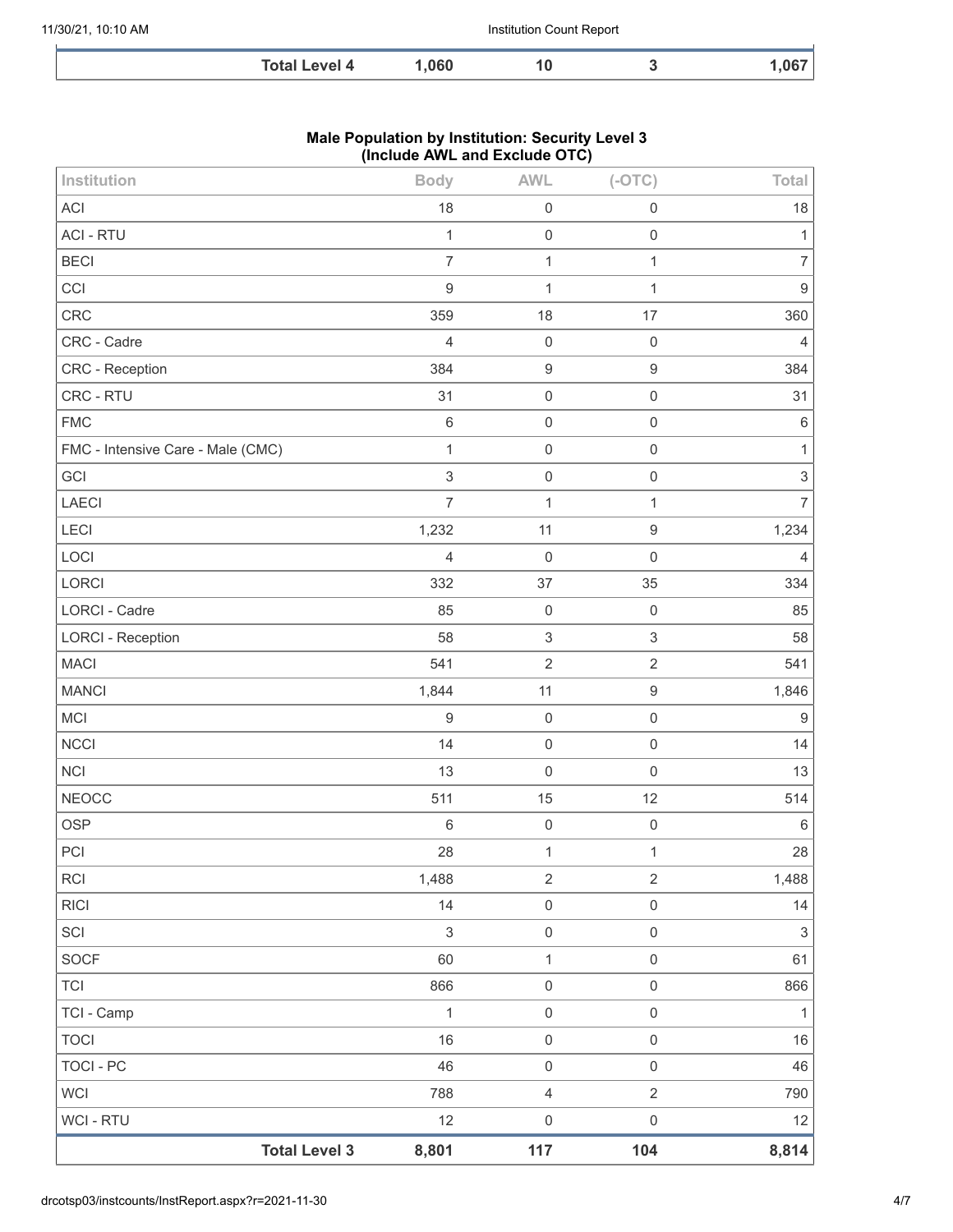| ----<br>$\sim$ $\sim$ 601 motives to $\sim$ | 1 በ6በ<br>.evel 4 | υ<br>___ | $- -$ |
|---------------------------------------------|------------------|----------|-------|

## **Male Population by Institution: Security Level 3 (Include AWL and Exclude OTC)**

| Institution                       | <b>Body</b>    | <b>AWL</b>                | $(-OTC)$            | Total                     |
|-----------------------------------|----------------|---------------------------|---------------------|---------------------------|
| <b>ACI</b>                        | 18             | $\mathbf 0$               | $\mathsf{O}\xspace$ | 18                        |
| <b>ACI - RTU</b>                  | 1              | $\mathbf 0$               | $\mathbf 0$         | 1                         |
| <b>BECI</b>                       | $\overline{7}$ | $\mathbf{1}$              | $\mathbf{1}$        | $\overline{7}$            |
| CCI                               | 9              | $\mathbf{1}$              | 1                   | $\boldsymbol{9}$          |
| CRC                               | 359            | 18                        | 17                  | 360                       |
| CRC - Cadre                       | 4              | $\mathbf 0$               | $\mathbf 0$         | $\overline{4}$            |
| CRC - Reception                   | 384            | $\boldsymbol{9}$          | $\boldsymbol{9}$    | 384                       |
| CRC - RTU                         | 31             | $\mathbf 0$               | $\mathsf 0$         | 31                        |
| <b>FMC</b>                        | $\,6\,$        | $\mathbf 0$               | $\mathsf 0$         | $\,6\,$                   |
| FMC - Intensive Care - Male (CMC) | $\mathbf{1}$   | $\mathbf 0$               | $\mathsf 0$         | $\mathbf{1}$              |
| GCI                               | $\,$ 3 $\,$    | $\mathbf 0$               | $\mathsf 0$         | $\ensuremath{\mathsf{3}}$ |
| LAECI                             | $\overline{7}$ | $\mathbf 1$               | $\mathbf{1}$        | $\overline{7}$            |
| LECI                              | 1,232          | 11                        | $\boldsymbol{9}$    | 1,234                     |
| LOCI                              | $\overline{4}$ | $\mathbf 0$               | $\mathsf 0$         | $\overline{4}$            |
| LORCI                             | 332            | 37                        | 35                  | 334                       |
| LORCI - Cadre                     | 85             | $\mathbf 0$               | $\mathbf 0$         | 85                        |
| <b>LORCI - Reception</b>          | 58             | $\ensuremath{\mathsf{3}}$ | $\,$ 3 $\,$         | 58                        |
| <b>MACI</b>                       | 541            | $\sqrt{2}$                | $\mathbf{2}$        | 541                       |
| <b>MANCI</b>                      | 1,844          | 11                        | $\boldsymbol{9}$    | 1,846                     |
| MCI                               | 9              | $\mathbf 0$               | $\mathsf 0$         | $\boldsymbol{9}$          |
| <b>NCCI</b>                       | 14             | $\mathbf 0$               | $\mathsf{O}\xspace$ | 14                        |
| <b>NCI</b>                        | 13             | $\mathbf 0$               | $\mathsf 0$         | 13                        |
| <b>NEOCC</b>                      | 511            | 15                        | 12                  | 514                       |
| <b>OSP</b>                        | $\,6\,$        | $\mathbf 0$               | $\mathsf 0$         | $6\,$                     |
| PCI                               | 28             | $\mathbf{1}$              | $\mathbf 1$         | 28                        |
| <b>RCI</b>                        | 1,488          | $\overline{2}$            | $\sqrt{2}$          | 1,488                     |
| <b>RICI</b>                       | 14             | $\mathbf 0$               | $\mathsf{O}\xspace$ | 14                        |
| SCI                               | $\sqrt{3}$     | $\mathbf 0$               | $\mathsf{O}\xspace$ | $\ensuremath{\mathsf{3}}$ |
| SOCF                              | 60             | $\mathbf{1}$              | $\mathsf{O}\xspace$ | 61                        |
| <b>TCI</b>                        | 866            | $\mathsf{O}\xspace$       | $\mathsf{O}\xspace$ | 866                       |
| TCI - Camp                        | 1              | $\mathbf 0$               | $\mathsf 0$         | $\mathbf{1}$              |
| <b>TOCI</b>                       | 16             | $\mathbf 0$               | $\mathsf{O}\xspace$ | 16                        |
| TOCI - PC                         | 46             | $\mathsf{O}\xspace$       | $\mathsf{O}\xspace$ | 46                        |
| <b>WCI</b>                        | 788            | $\overline{4}$            | $\overline{2}$      | 790                       |
| WCI - RTU                         | 12             | $\mathbf 0$               | $\mathsf 0$         | 12                        |
| <b>Total Level 3</b>              | 8,801          | 117                       | 104                 | 8,814                     |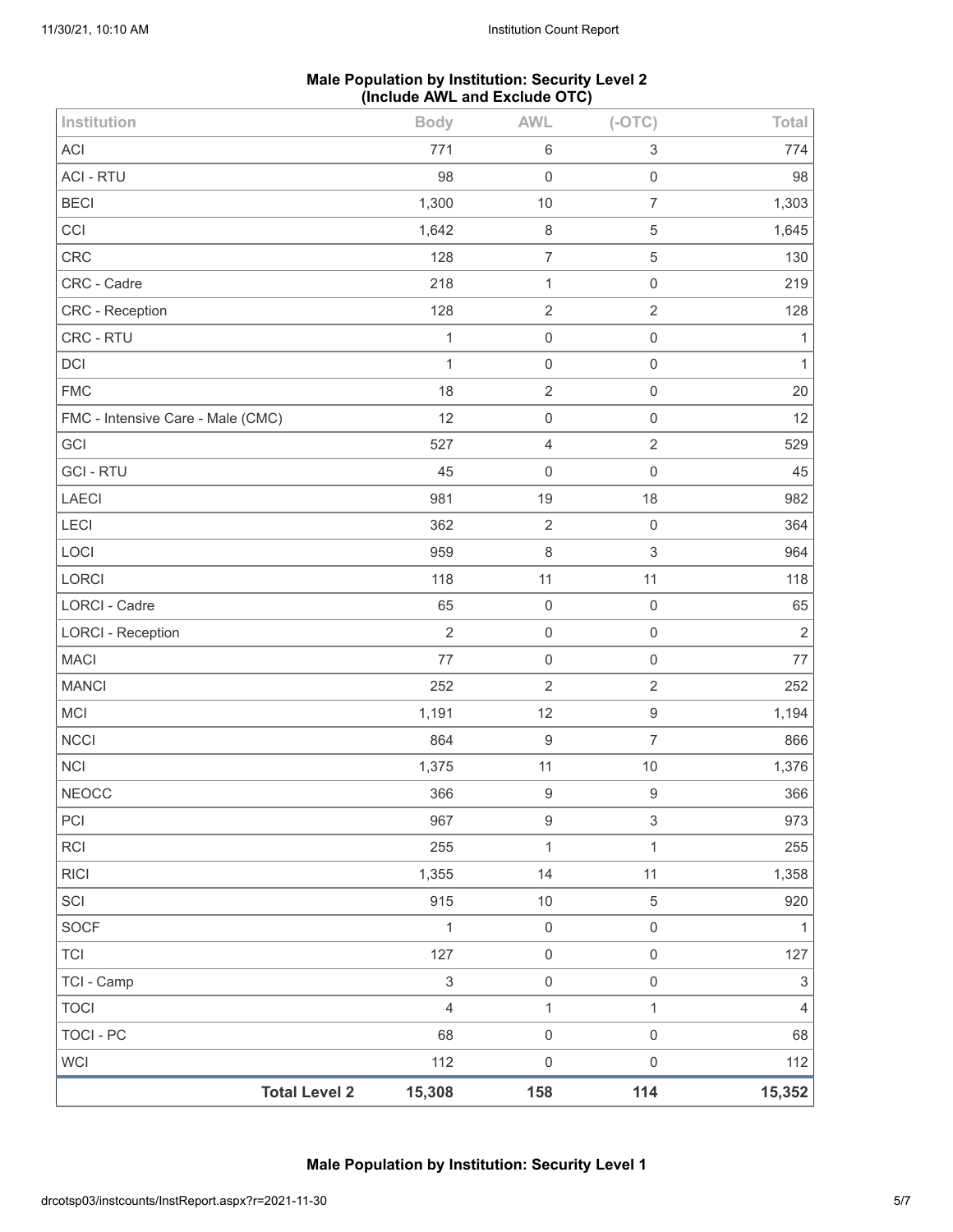## **Male Population by Institution: Security Level 2 (Include AWL and Exclude OTC)**

| Institution                       | <b>Body</b>    | <b>AWL</b>          | $(-OTC)$                  | Total                     |
|-----------------------------------|----------------|---------------------|---------------------------|---------------------------|
| <b>ACI</b>                        | 771            | $\,6\,$             | $\ensuremath{\mathsf{3}}$ | 774                       |
| <b>ACI - RTU</b>                  | 98             | $\mathbf 0$         | $\mathsf 0$               | 98                        |
| <b>BECI</b>                       | 1,300          | $10$                | $\overline{7}$            | 1,303                     |
| CCI                               | 1,642          | $\,8\,$             | $\,$ 5 $\,$               | 1,645                     |
| CRC                               | 128            | $\overline{7}$      | $\mathbf 5$               | 130                       |
| CRC - Cadre                       | 218            | $\mathbf{1}$        | $\mathsf 0$               | 219                       |
| <b>CRC</b> - Reception            | 128            | $\sqrt{2}$          | $\sqrt{2}$                | 128                       |
| CRC - RTU                         | 1              | $\mathbf 0$         | $\mathsf 0$               | $\mathbf{1}$              |
| DCI                               | $\mathbf{1}$   | $\mathbf 0$         | $\mathsf{O}\xspace$       | $\mathbf{1}$              |
| <b>FMC</b>                        | 18             | $\sqrt{2}$          | $\mathsf 0$               | 20                        |
| FMC - Intensive Care - Male (CMC) | 12             | $\mathbf 0$         | $\mathsf 0$               | 12                        |
| GCI                               | 527            | $\overline{4}$      | $\overline{2}$            | 529                       |
| <b>GCI - RTU</b>                  | 45             | $\mathbf 0$         | $\mathbf 0$               | 45                        |
| LAECI                             | 981            | 19                  | 18                        | 982                       |
| <b>LECI</b>                       | 362            | $\overline{2}$      | $\mathsf 0$               | 364                       |
| LOCI                              | 959            | $\,8\,$             | $\,$ 3 $\,$               | 964                       |
| LORCI                             | 118            | 11                  | 11                        | 118                       |
| LORCI - Cadre                     | 65             | $\mathbf 0$         | $\mathbf 0$               | 65                        |
| <b>LORCI - Reception</b>          | $\overline{2}$ | $\mathbf 0$         | $\mathsf{O}\xspace$       | $\sqrt{2}$                |
| <b>MACI</b>                       | $77$           | $\mathsf 0$         | $\mathsf 0$               | $77\,$                    |
| <b>MANCI</b>                      | 252            | $\overline{2}$      | $\overline{2}$            | 252                       |
| MCI                               | 1,191          | 12                  | $\boldsymbol{9}$          | 1,194                     |
| <b>NCCI</b>                       | 864            | $\boldsymbol{9}$    | $\overline{7}$            | 866                       |
| <b>NCI</b>                        | 1,375          | 11                  | $10$                      | 1,376                     |
| <b>NEOCC</b>                      | 366            | $\boldsymbol{9}$    | $\boldsymbol{9}$          | 366                       |
| PCI                               | 967            | $\boldsymbol{9}$    | $\ensuremath{\mathsf{3}}$ | 973                       |
| <b>RCI</b>                        | 255            | $\mathbf 1$         | $\mathbf{1}$              | 255                       |
| <b>RICI</b>                       | 1,355          | 14                  | 11                        | 1,358                     |
| SCI                               | 915            | $10$                | 5                         | 920                       |
| <b>SOCF</b>                       | 1              | $\mathbf 0$         | $\mathsf{O}\xspace$       | $\mathbf{1}$              |
| <b>TCI</b>                        | 127            | $\mathbf 0$         | $\mathsf{O}\xspace$       | 127                       |
| TCI - Camp                        | 3              | $\mathsf{O}\xspace$ | $\mathsf{O}\xspace$       | $\ensuremath{\mathsf{3}}$ |
| <b>TOCI</b>                       | $\overline{4}$ | $\mathbf 1$         | $\mathbf{1}$              | $\overline{4}$            |
| <b>TOCI - PC</b>                  | 68             | $\mathbf 0$         | $\mathsf{O}\xspace$       | 68                        |
| <b>WCI</b>                        | 112            | $\mathbf 0$         | $\mathsf{O}\xspace$       | 112                       |
| <b>Total Level 2</b>              | 15,308         | 158                 | 114                       | 15,352                    |

**Male Population by Institution: Security Level 1**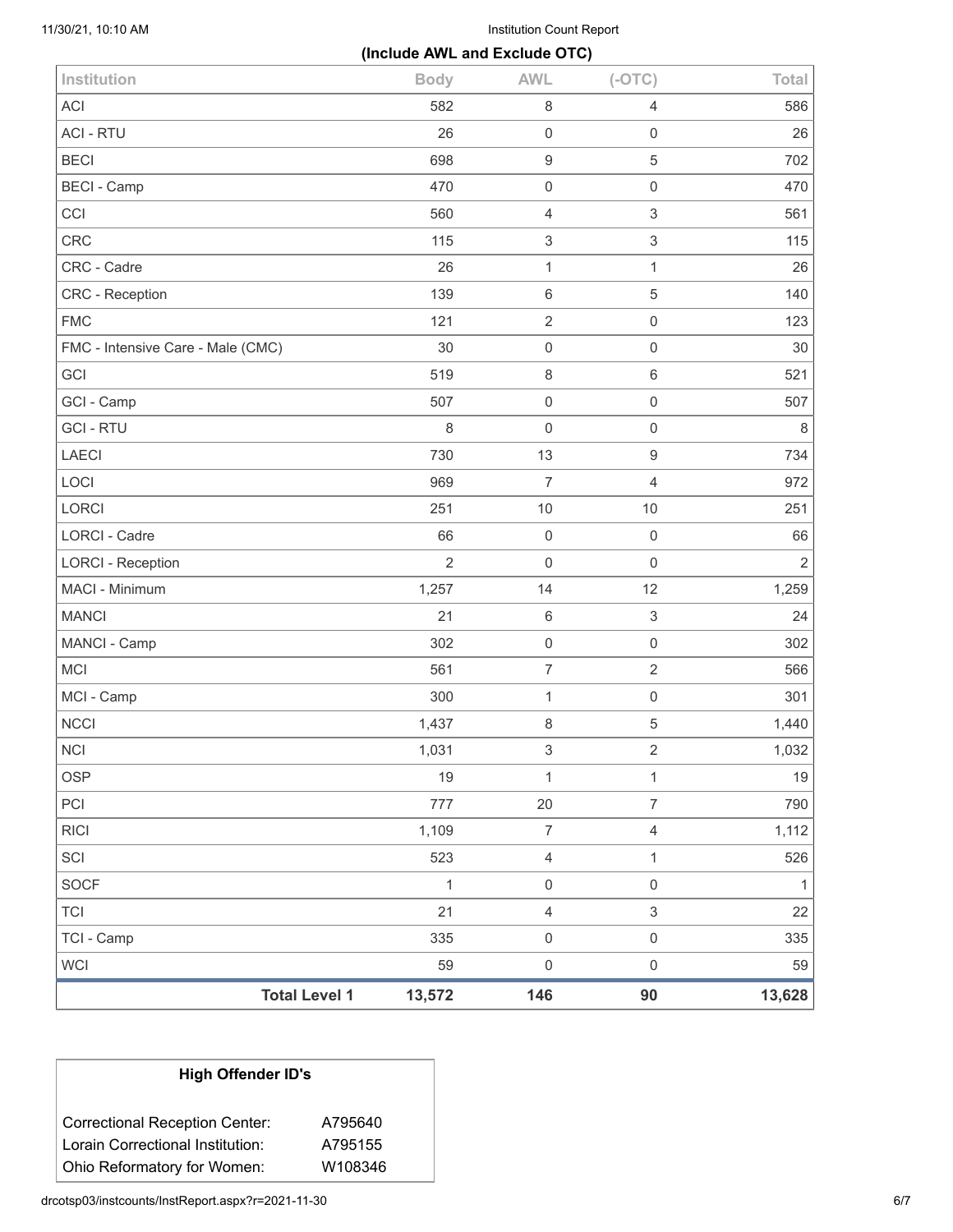11/30/21, 10:10 AM Institution Count Report

|                                   | (Include AWL and Exclude OTC) |                           |                           |                |
|-----------------------------------|-------------------------------|---------------------------|---------------------------|----------------|
| Institution                       | <b>Body</b>                   | <b>AWL</b>                | $(-OTC)$                  | Total          |
| <b>ACI</b>                        | 582                           | $\,8\,$                   | $\overline{4}$            | 586            |
| <b>ACI - RTU</b>                  | 26                            | $\mathbf 0$               | $\mathbf 0$               | 26             |
| <b>BECI</b>                       | 698                           | $\boldsymbol{9}$          | 5                         | 702            |
| <b>BECI - Camp</b>                | 470                           | $\mathbf 0$               | $\mathbf 0$               | 470            |
| CCI                               | 560                           | $\overline{4}$            | $\,$ 3 $\,$               | 561            |
| <b>CRC</b>                        | 115                           | $\ensuremath{\mathsf{3}}$ | $\ensuremath{\mathsf{3}}$ | 115            |
| CRC - Cadre                       | 26                            | $\mathbf{1}$              | $\mathbf{1}$              | 26             |
| CRC - Reception                   | 139                           | $\,6\,$                   | 5                         | 140            |
| <b>FMC</b>                        | 121                           | $\sqrt{2}$                | $\mathbf 0$               | 123            |
| FMC - Intensive Care - Male (CMC) | 30                            | $\mathbf 0$               | $\mathbf 0$               | 30             |
| GCI                               | 519                           | $\,8\,$                   | $\,6\,$                   | 521            |
| GCI - Camp                        | 507                           | $\mathbf 0$               | $\mathbf 0$               | 507            |
| <b>GCI-RTU</b>                    | $\,8\,$                       | $\mathsf{O}\xspace$       | $\mathbf 0$               | $\,8\,$        |
| <b>LAECI</b>                      | 730                           | 13                        | $\boldsymbol{9}$          | 734            |
| LOCI                              | 969                           | $\overline{7}$            | $\overline{4}$            | 972            |
| LORCI                             | 251                           | 10                        | $10$                      | 251            |
| <b>LORCI - Cadre</b>              | 66                            | $\mathbf 0$               | $\mathbf 0$               | 66             |
| <b>LORCI - Reception</b>          | $\overline{2}$                | $\mathsf{O}\xspace$       | $\mathbf 0$               | $\overline{2}$ |
| MACI - Minimum                    | 1,257                         | 14                        | 12                        | 1,259          |
| <b>MANCI</b>                      | 21                            | $\,6\,$                   | $\ensuremath{\mathsf{3}}$ | 24             |
| MANCI - Camp                      | 302                           | $\mathsf{O}\xspace$       | $\mathbf 0$               | 302            |
| <b>MCI</b>                        | 561                           | $\boldsymbol{7}$          | $\overline{2}$            | 566            |
| MCI - Camp                        | 300                           | $\mathbf{1}$              | $\mathbf 0$               | 301            |
| <b>NCCI</b>                       | 1,437                         | $\,8\,$                   | $\mathbf 5$               | 1,440          |
| <b>NCI</b>                        | 1,031                         | $\ensuremath{\mathsf{3}}$ | $\overline{2}$            | 1,032          |
| <b>OSP</b>                        | 19                            | $\mathbf{1}$              | $\mathbf{1}$              | 19             |
| PCI                               | 777                           | 20                        | $\overline{7}$            | 790            |
| <b>RICI</b>                       | 1,109                         | $\overline{7}$            | $\overline{4}$            | 1,112          |
| SCI                               | 523                           | $\overline{4}$            | $\mathbf{1}$              | 526            |
| <b>SOCF</b>                       | $\mathbf{1}$                  | $\mathbf 0$               | $\mathbf 0$               | 1              |
| <b>TCI</b>                        | 21                            | $\overline{4}$            | $\mathfrak{S}$            | 22             |
| TCI - Camp                        | 335                           | $\mathsf 0$               | $\mathbf 0$               | 335            |
| <b>WCI</b>                        | 59                            | $\mathsf{O}\xspace$       | $\mathsf{O}\xspace$       | 59             |
| <b>Total Level 1</b>              | 13,572                        | 146                       | 90                        | 13,628         |

# **High Offender ID's**

| <b>Correctional Reception Center:</b> | A795640 |  |
|---------------------------------------|---------|--|
| Lorain Correctional Institution:      | A795155 |  |
| Ohio Reformatory for Women:           | W108346 |  |